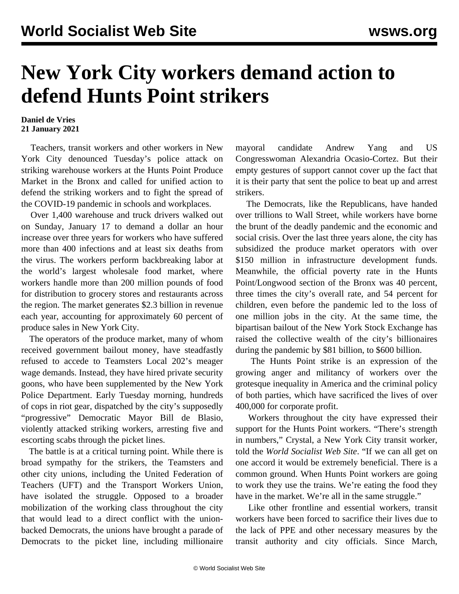## **New York City workers demand action to defend Hunts Point strikers**

## **Daniel de Vries 21 January 2021**

 Teachers, transit workers and other workers in New York City denounced Tuesday's police attack on striking warehouse workers at the Hunts Point Produce Market in the Bronx and called for unified action to defend the striking workers and to fight the spread of the COVID-19 pandemic in schools and workplaces.

 Over 1,400 warehouse and truck drivers walked out on Sunday, January 17 to demand a dollar an hour increase over three years for workers who have suffered more than 400 infections and at least six deaths from the virus. The workers perform backbreaking labor at the world's largest wholesale food market, where workers handle more than 200 million pounds of food for distribution to grocery stores and restaurants across the region. The market generates \$2.3 billion in revenue each year, accounting for approximately 60 percent of produce sales in New York City.

 The operators of the produce market, many of whom received government bailout money, have steadfastly refused to accede to Teamsters Local 202's meager wage demands. Instead, they have hired private security goons, who have been supplemented by the New York Police Department. Early Tuesday morning, hundreds of cops in riot gear, dispatched by the city's supposedly "progressive" Democratic Mayor Bill de Blasio, violently attacked striking workers, arresting five and escorting scabs through the picket lines.

 The battle is at a critical turning point. While there is broad sympathy for the strikers, the Teamsters and other city unions, including the United Federation of Teachers (UFT) and the Transport Workers Union, have isolated the struggle. Opposed to a broader mobilization of the working class throughout the city that would lead to a direct conflict with the unionbacked Democrats, the unions have brought a parade of Democrats to the picket line, including millionaire

mayoral candidate Andrew Yang and US Congresswoman Alexandria Ocasio-Cortez. But their empty gestures of support cannot cover up the fact that it is their party that sent the police to beat up and arrest strikers.

 The Democrats, like the Republicans, have handed over trillions to Wall Street, while workers have borne the brunt of the deadly pandemic and the economic and social crisis. Over the last three years alone, the city has subsidized the produce market operators with over \$150 million in infrastructure development funds. Meanwhile, the official poverty rate in the Hunts Point/Longwood section of the Bronx was 40 percent, three times the city's overall rate, and 54 percent for children, even before the pandemic led to the loss of one million jobs in the city. At the same time, the bipartisan bailout of the New York Stock Exchange has raised the collective wealth of the city's billionaires during the pandemic by \$81 billion, to \$600 billion.

 The Hunts Point strike is an expression of the growing anger and militancy of workers over the grotesque inequality in America and the criminal policy of both parties, which have sacrificed the lives of over 400,000 for corporate profit.

 Workers throughout the city have expressed their support for the Hunts Point workers. "There's strength in numbers," Crystal, a New York City transit worker, told the *World Socialist Web Site*. "If we can all get on one accord it would be extremely beneficial. There is a common ground. When Hunts Point workers are going to work they use the trains. We're eating the food they have in the market. We're all in the same struggle."

 Like other frontline and essential workers, transit workers have been forced to sacrifice their lives due to the lack of PPE and other necessary measures by the transit authority and city officials. Since March,